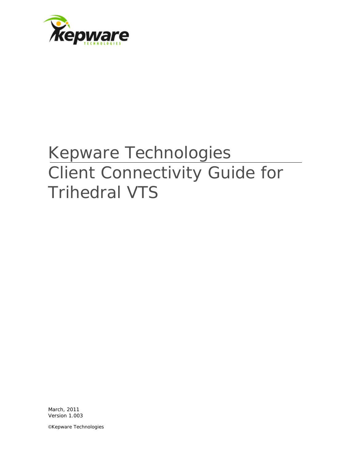

# Kepware Technologies Client Connectivity Guide for Trihedral VTS

March, 2011 Version 1.003

©Kepware Technologies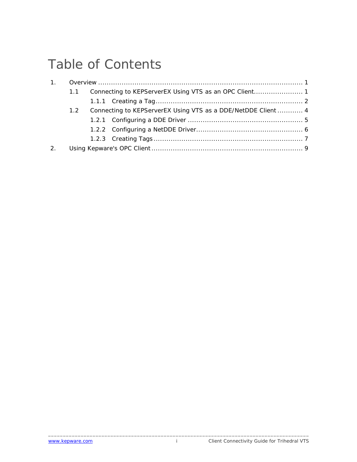## Table of Contents

|                | $1.1 -$ |  |                                                               |  |  |
|----------------|---------|--|---------------------------------------------------------------|--|--|
|                |         |  |                                                               |  |  |
|                | 1.2     |  | Connecting to KEPServerEX Using VTS as a DDE/NetDDE Client  4 |  |  |
|                |         |  |                                                               |  |  |
|                |         |  |                                                               |  |  |
|                |         |  |                                                               |  |  |
| 2 <sub>1</sub> |         |  |                                                               |  |  |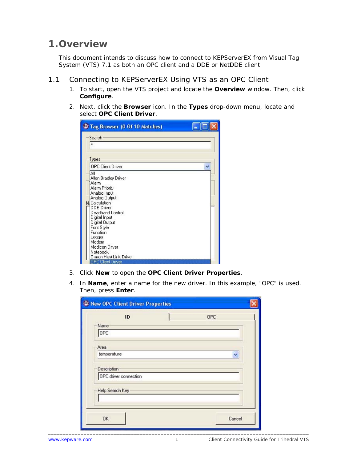### <span id="page-2-0"></span>**1.Overview**

This document intends to discuss how to connect to KEPServerEX from Visual Tag System (VTS) 7.1 as both an OPC client and a DDE or NetDDE client.

- 1.1 Connecting to KEPServerEX Using VTS as an OPC Client
	- 1. To start, open the VTS project and locate the **Overview** window. Then, click **Configure**.
	- 2. Next, click the **Browser** icon. In the **Types** drop-down menu, locate and select **OPC Client Driver**.

|                   | <sup>1</sup> Tag Browser (0 Of 10 Matches)                                                                                                                                                                                                                                                                                                       |  |
|-------------------|--------------------------------------------------------------------------------------------------------------------------------------------------------------------------------------------------------------------------------------------------------------------------------------------------------------------------------------------------|--|
| $\times$<br>Types | Search                                                                                                                                                                                                                                                                                                                                           |  |
| ΔIΙ               | <b>OPC Client Driver</b><br>Allen Bradley Driver<br>Alarm<br>Alarm Priority<br>Analog Input<br>Analog Output<br><b>NJCalculation</b><br><b>DDE</b> Driver<br>Deadband Control<br>Digital Input<br>Digital Output<br>Font Style<br>Function<br>Logger<br>Modem<br>Modicon Drver<br>Notebook<br>Omron Host Link Driver<br><b>OPC Client Driver</b> |  |

- 3. Click **New** to open the **OPC Client Driver Properties**.
- 4. In **Name**, enter a name for the new driver. In this example, "OPC" is used. Then, press **Enter**.

| ID                                                             | OPC |  |
|----------------------------------------------------------------|-----|--|
| Name                                                           |     |  |
| OPC                                                            |     |  |
|                                                                |     |  |
| Area                                                           |     |  |
| temperature                                                    | v   |  |
|                                                                |     |  |
|                                                                |     |  |
|                                                                |     |  |
|                                                                |     |  |
|                                                                |     |  |
| <b>Description</b><br>OPC driver connection<br>Help Search Key |     |  |
|                                                                |     |  |
|                                                                |     |  |

\_\_\_\_\_\_\_\_\_\_\_\_\_\_\_\_\_\_\_\_\_\_\_\_\_\_\_\_\_\_\_\_\_\_\_\_\_\_\_\_\_\_\_\_\_\_\_\_\_\_\_\_\_\_\_\_\_\_\_\_\_\_\_\_\_\_\_\_\_\_\_\_\_\_\_\_\_\_\_\_\_\_\_\_\_\_\_\_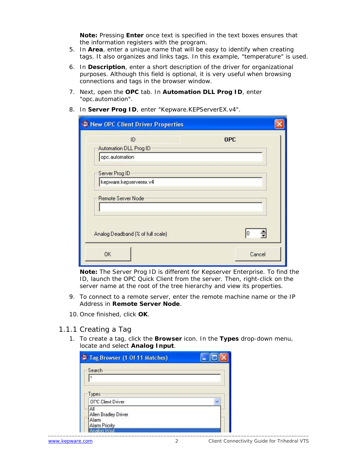**Note:** Pressing **Enter** once text is specified in the text boxes ensures that the information registers with the program.

- <span id="page-3-0"></span>5. In **Area**, enter a unique name that will be easy to identify when creating tags. It also organizes and links tags. In this example, "temperature" is used.
- 6. In **Description**, enter a short description of the driver for organizational purposes. Although this field is optional, it is very useful when browsing connections and tags in the browser window.
- 7. Next, open the **OPC** tab. In **Automation DLL Prog ID**, enter "opc.automation".

|                                   | <b>OPC</b> |
|-----------------------------------|------------|
| Automation DLL Prog ID            |            |
| opc.automation                    |            |
| Server Prog ID                    |            |
| kepware.kepserverex.v4            |            |
|                                   |            |
| <b>Remote Server Node</b>         |            |
|                                   |            |
|                                   |            |
|                                   |            |
| Analog Deadband (% of full scale) | 10<br>÷    |

8. In **Server Prog ID**, enter "Kepware.KEPServerEX.v4".

**Note:** The Server Prog ID is different for Kepserver Enterprise. To find the ID, launch the OPC Quick Client from the server. Then, right-click on the server name at the root of the tree hierarchy and view its properties.

- 9. To connect to a remote server, enter the remote machine name or the IP Address in **Remote Server Node**.
- 10. Once finished, click **OK**.

#### 1.1.1 Creating a Tag

1. To create a tag, click the **Browser** icon. In the **Types** drop-down menu, locate and select **Analog Input**.

| <sup>9</sup> Tag Browser (1 Of 11 Matches)                    |  |
|---------------------------------------------------------------|--|
| Search                                                        |  |
| $\boldsymbol{\mathsf{x}}$                                     |  |
| Types                                                         |  |
| <b>OPC Client Driver</b>                                      |  |
| All<br>Allen Bradley Driver<br>Alarm<br><b>Alarm Pricrity</b> |  |
| Analog Input                                                  |  |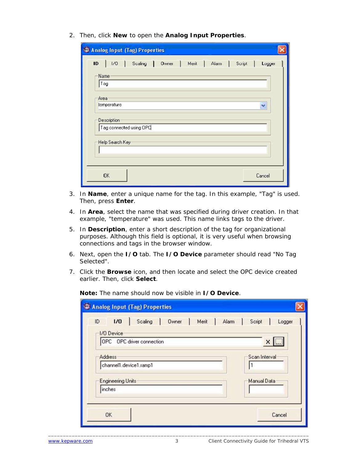2. Then, click **New** to open the **Analog Input Properties**.

| Analog Input (Tag) Properties                                                                               |  |  |  |  |  |  |
|-------------------------------------------------------------------------------------------------------------|--|--|--|--|--|--|
| $\mathbf{10}$<br>Scaling<br>1/0<br>$0$ wner $\vert$<br>Alarm  <br>Script<br>Merit<br>$\mathbf{I}$<br>Logger |  |  |  |  |  |  |
| Name <sup>®</sup><br>Tag                                                                                    |  |  |  |  |  |  |
| Area                                                                                                        |  |  |  |  |  |  |
| temperature<br>v                                                                                            |  |  |  |  |  |  |
| Description<br>Tag connected using OPC                                                                      |  |  |  |  |  |  |
| Help Search Key                                                                                             |  |  |  |  |  |  |
|                                                                                                             |  |  |  |  |  |  |
| OK.<br>Cancel                                                                                               |  |  |  |  |  |  |

- 3. In **Name**, enter a unique name for the tag. In this example, "Tag" is used. Then, press **Enter**.
- 4. In **Area**, select the name that was specified during driver creation. In that example, "temperature" was used. This name links tags to the driver.
- 5. In **Description**, enter a short description of the tag for organizational purposes. Although this field is optional, it is very useful when browsing connections and tags in the browser window.
- 6. Next, open the **I/O** tab. The **I/O Device** parameter should read "No Tag Selected".
- 7. Click the **Browse** icon, and then locate and select the OPC device created earlier. Then, click **Select**.

**Note:** The name should now be visible in **I/O Device**.

| <sup>1</sup> Analog Input (Tag) Properties                          |
|---------------------------------------------------------------------|
| 1/0<br>Scaling<br>Script<br>ID<br>Owner<br>Merit<br>Alarm<br>Logger |
| I/O Device<br>OPC OPC driver connection<br>x                        |
| Scan Interval<br><b>Address</b><br>channel1.device1.ramp1           |
| Manual Data<br><b>Engineering Units</b>                             |
| inches                                                              |
|                                                                     |
| <b>OK</b><br>Cancel                                                 |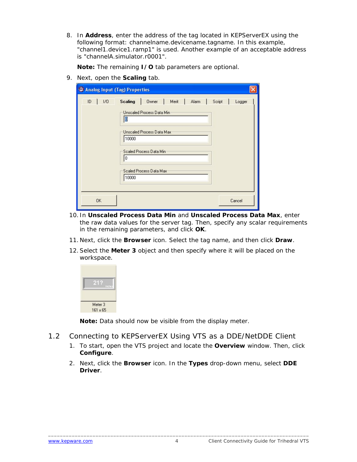<span id="page-5-0"></span>8. In **Address**, enter the address of the tag located in KEPServerEX using the following format: *channelname.devicename.tagname*. In this example, "channel1.device1.ramp1" is used. Another example of an acceptable address is "channelA.simulator.r0001".

**Note:** The remaining **I/O** tab parameters are optional.

9. Next, open the **Scaling** tab.

| Analog Input (Tag) Properties |                                                                                                                                                                       |                |                  |
|-------------------------------|-----------------------------------------------------------------------------------------------------------------------------------------------------------------------|----------------|------------------|
| ID<br>1/0                     | <b>Scaling</b><br>Owner<br>Unscaled Process Data Min<br>O<br>Unscaled Process Data Max:<br>10000<br>Scaled Process Data Min<br>0<br>Scaled Process Data Max-<br>10000 | Merit<br>Alarm | Script<br>Logger |
| 0K                            |                                                                                                                                                                       |                | Cancel           |

- 10. In **Unscaled Process Data Min** and **Unscaled Process Data Max**, enter the raw data values for the server tag. Then, specify any scalar requirements in the remaining parameters, and click **OK**.
- 11. Next, click the **Browser** icon. Select the tag name, and then click **Draw**.
- 12.Select the **Meter 3** object and then specify where it will be placed on the workspace.

| Inche! |
|--------|
|        |
|        |

**Note:** Data should now be visible from the display meter.

- 1.2 Connecting to KEPServerEX Using VTS as a DDE/NetDDE Client
	- 1. To start, open the VTS project and locate the **Overview** window. Then, click **Configure**.
	- 2. Next, click the **Browser** icon. In the **Types** drop-down menu, select **DDE Driver**.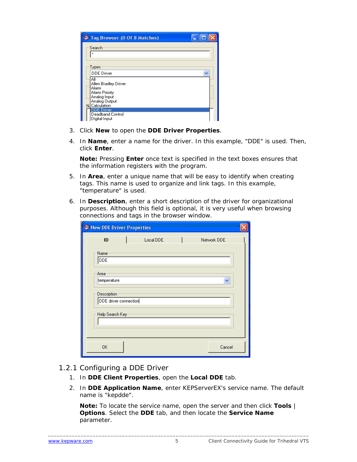<span id="page-6-0"></span>

| Tag Browser (0 Of 8 Matches)             |  |
|------------------------------------------|--|
| Search                                   |  |
| ×                                        |  |
| Types                                    |  |
| <b>DDE</b> Driver                        |  |
| ΑI<br>Allen Bradley Driver               |  |
| Alarm<br>Alarm Priority                  |  |
| Analog Input                             |  |
| Analog Output<br>N. Calculation          |  |
| <b>DDE Driver</b>                        |  |
| <b>Deadband Control</b><br>Digital Input |  |

- 3. Click **New** to open the **DDE Driver Properties**.
- 4. In **Name**, enter a name for the driver. In this example, "DDE" is used. Then, click **Enter**.

**Note:** Pressing **Enter** once text is specified in the text boxes ensures that the information registers with the program.

- 5. In **Area**, enter a unique name that will be easy to identify when creating tags. This name is used to organize and link tags. In this example, "temperature" is used.
- 6. In **Description**, enter a short description of the driver for organizational purposes. Although this field is optional, it is very useful when browsing connections and tags in the browser window.

| New DDE Driver Properties |  |           |  |             |  |  |
|---------------------------|--|-----------|--|-------------|--|--|
| ID                        |  | Local DDE |  | Network DDE |  |  |
| Name                      |  |           |  |             |  |  |
| DDE                       |  |           |  |             |  |  |
| Area                      |  |           |  |             |  |  |
| temperature               |  |           |  | Ÿ           |  |  |
| <b>Description</b>        |  |           |  |             |  |  |
| DDE driver connection     |  |           |  |             |  |  |
| Help Search Key           |  |           |  |             |  |  |
|                           |  |           |  |             |  |  |
|                           |  |           |  |             |  |  |
| 0K                        |  |           |  | Cancel      |  |  |

#### 1.2.1 Configuring a DDE Driver

- 1. In **DDE Client Properties**, open the **Local DDE** tab.
- 2. In **DDE Application Name**, enter KEPServerEX's service name. The default name is "kepdde".

**Note:** To locate the service name, open the server and then click **Tools** | **Options**. Select the **DDE** tab, and then locate the **Service Name** parameter.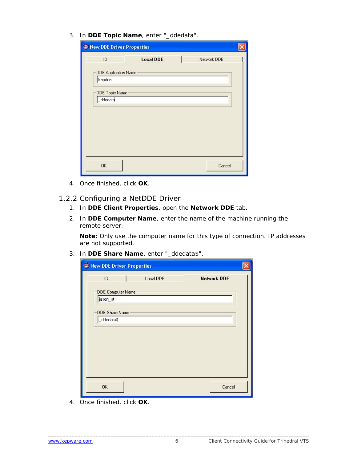<span id="page-7-0"></span>3. In **DDE Topic Name**, enter "\_ddedata".

| New DDE Driver Properties   |                  |             |  |  |  |
|-----------------------------|------------------|-------------|--|--|--|
| ID                          | <b>Local DDE</b> | Network DDE |  |  |  |
| <b>DDE Application Name</b> |                  |             |  |  |  |
| kepdde                      |                  |             |  |  |  |
| DDE Topic Name              |                  |             |  |  |  |
| _ddedata                    |                  |             |  |  |  |
|                             |                  |             |  |  |  |
|                             |                  |             |  |  |  |
|                             |                  |             |  |  |  |
|                             |                  |             |  |  |  |
|                             |                  |             |  |  |  |
| <b>OK</b>                   |                  | Cancel      |  |  |  |

4. Once finished, click **OK**.

#### 1.2.2 Configuring a NetDDE Driver

- 1. In **DDE Client Properties**, open the **Network DDE** tab.
- 2. In **DDE Computer Name**, enter the name of the machine running the remote server.

**Note:** Only use the computer name for this type of connection. IP addresses are not supported.

3. In **DDE Share Name**, enter "\_ddedata\$".

| New DDE Driver Properties |                   |           |                    |
|---------------------------|-------------------|-----------|--------------------|
| ID                        |                   | Local DDE | <b>Network DDE</b> |
|                           | DDE Computer Name |           |                    |
| jason_nt                  |                   |           |                    |
| <b>DDE Share Name</b>     |                   |           |                    |
| _ddedata\$                |                   |           |                    |
|                           |                   |           |                    |
|                           |                   |           |                    |
|                           |                   |           |                    |
|                           |                   |           |                    |
|                           |                   |           |                    |
| <b>OK</b>                 |                   |           | Cancel             |

4. Once finished, click **OK**.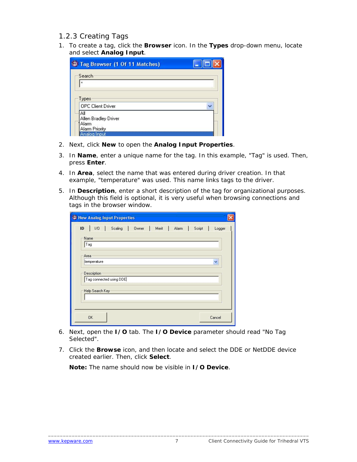#### <span id="page-8-0"></span>1.2.3 Creating Tags

1. To create a tag, click the **Browser** icon. In the **Types** drop-down menu, locate and select **Analog Input**.

| Tag Browser (1 Of 11 Matches)                                                 |  |
|-------------------------------------------------------------------------------|--|
| Search                                                                        |  |
| $\boldsymbol{\mathsf{x}}$                                                     |  |
| Types                                                                         |  |
| <b>OPC Client Driver</b>                                                      |  |
| Αll<br>Allen Bradley Driver<br>Alarm<br><b>Alarm Priority</b><br>Analog Input |  |

- 2. Next, click **New** to open the **Analog Input Properties**.
- 3. In **Name**, enter a unique name for the tag. In this example, "Tag" is used. Then, press **Enter**.
- 4. In **Area**, select the name that was entered during driver creation. In that example, "temperature" was used. This name links tags to the driver.
- 5. In **Description**, enter a short description of the tag for organizational purposes. Although this field is optional, it is very useful when browsing connections and tags in the browser window.

| New Analog Input Properties                                         |
|---------------------------------------------------------------------|
| ID<br>Scaling<br>Owner<br>1/0<br>Merit<br>Alarm<br>Script<br>Logger |
| Name                                                                |
| Tag                                                                 |
| Area                                                                |
| temperature<br>Ÿ                                                    |
| <b>Description</b>                                                  |
| Tag connected using DDE                                             |
| Help Search Key                                                     |
|                                                                     |
|                                                                     |
| <b>OK</b><br>Cancel                                                 |

- 6. Next, open the **I/O** tab. The **I/O Device** parameter should read "No Tag Selected".
- 7. Click the **Browse** icon, and then locate and select the DDE or NetDDE device created earlier. Then, click **Select**.

**Note:** The name should now be visible in **I/O Device**.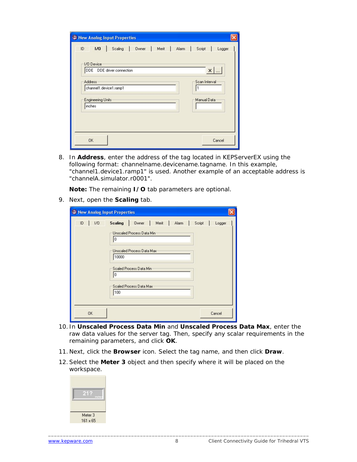| New Analog Input Properties                      |                  |
|--------------------------------------------------|------------------|
| 1/0<br>ID.<br>Scaling<br>Owner<br>Merit<br>Alarm | Script<br>Logger |
| I/O Device                                       |                  |
| DDE DDE driver connection                        | $\times$         |
| <b>Address</b>                                   | Scan Interval    |
| channel1.device1.ramp1                           |                  |
| <b>Engineering Units</b>                         | Manual Data      |
| inches                                           |                  |
|                                                  |                  |
|                                                  |                  |
| <b>OK</b>                                        | Cancel           |
|                                                  |                  |

8. In **Address**, enter the address of the tag located in KEPServerEX using the following format: *channelname.devicename.tagname*. In this example, "channel1.device1.ramp1" is used. Another example of an acceptable address is "channelA.simulator.r0001".

**Note:** The remaining **I/O** tab parameters are optional.

9. Next, open the **Scaling** tab.

| New Analog Input Properties |                                                                                                                                                                                                             |  |
|-----------------------------|-------------------------------------------------------------------------------------------------------------------------------------------------------------------------------------------------------------|--|
| 1/0<br>ID                   | <b>Scaling</b><br>Owner<br>Merit<br>Script<br>Alarm<br>Logger<br>Unscaled Process Data Min-<br>I٥<br>Unscaled Process Data Max:<br>10000<br>Scaled Process Data Min<br>10<br>Scaled Process Data Max<br>100 |  |
| 0K                          | Cancel                                                                                                                                                                                                      |  |

- 10. In **Unscaled Process Data Min** and **Unscaled Process Data Max**, enter the raw data values for the server tag. Then, specify any scalar requirements in the remaining parameters, and click **OK**.
- 11. Next, click the **Browser** icon. Select the tag name, and then click **Draw**.
- 12.Select the **Meter 3** object and then specify where it will be placed on the workspace.